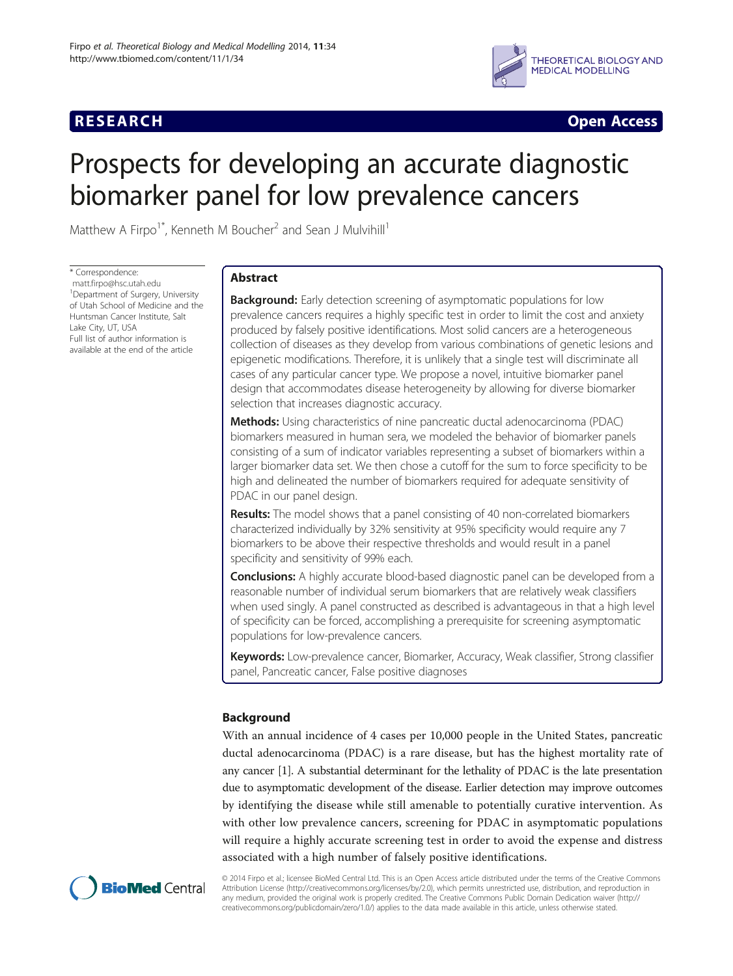# **RESEARCH CHINESE ARCH CHINESE ARCH CHINESE ARCH**



# Prospects for developing an accurate diagnostic biomarker panel for low prevalence cancers

Matthew A Firpo<sup>1\*</sup>, Kenneth M Boucher<sup>2</sup> and Sean J Mulvihill<sup>1</sup>

\* Correspondence: [matt.firpo@hsc.utah.edu](mailto:matt.firpo@hsc.utah.edu) <sup>1</sup> Department of Surgery, University of Utah School of Medicine and the Huntsman Cancer Institute, Salt Lake City, UT, USA Full list of author information is available at the end of the article

# Abstract

**Background:** Early detection screening of asymptomatic populations for low prevalence cancers requires a highly specific test in order to limit the cost and anxiety produced by falsely positive identifications. Most solid cancers are a heterogeneous collection of diseases as they develop from various combinations of genetic lesions and epigenetic modifications. Therefore, it is unlikely that a single test will discriminate all cases of any particular cancer type. We propose a novel, intuitive biomarker panel design that accommodates disease heterogeneity by allowing for diverse biomarker selection that increases diagnostic accuracy.

Methods: Using characteristics of nine pancreatic ductal adenocarcinoma (PDAC) biomarkers measured in human sera, we modeled the behavior of biomarker panels consisting of a sum of indicator variables representing a subset of biomarkers within a larger biomarker data set. We then chose a cutoff for the sum to force specificity to be high and delineated the number of biomarkers required for adequate sensitivity of PDAC in our panel design.

**Results:** The model shows that a panel consisting of 40 non-correlated biomarkers characterized individually by 32% sensitivity at 95% specificity would require any 7 biomarkers to be above their respective thresholds and would result in a panel specificity and sensitivity of 99% each.

**Conclusions:** A highly accurate blood-based diagnostic panel can be developed from a reasonable number of individual serum biomarkers that are relatively weak classifiers when used singly. A panel constructed as described is advantageous in that a high level of specificity can be forced, accomplishing a prerequisite for screening asymptomatic populations for low-prevalence cancers.

Keywords: Low-prevalence cancer, Biomarker, Accuracy, Weak classifier, Strong classifier panel, Pancreatic cancer, False positive diagnoses

# Background

With an annual incidence of 4 cases per 10,000 people in the United States, pancreatic ductal adenocarcinoma (PDAC) is a rare disease, but has the highest mortality rate of any cancer [\[1\]](#page-7-0). A substantial determinant for the lethality of PDAC is the late presentation due to asymptomatic development of the disease. Earlier detection may improve outcomes by identifying the disease while still amenable to potentially curative intervention. As with other low prevalence cancers, screening for PDAC in asymptomatic populations will require a highly accurate screening test in order to avoid the expense and distress associated with a high number of falsely positive identifications.



© 2014 Firpo et al.; licensee BioMed Central Ltd. This is an Open Access article distributed under the terms of the Creative Commons Attribution License (<http://creativecommons.org/licenses/by/2.0>), which permits unrestricted use, distribution, and reproduction in any medium, provided the original work is properly credited. The Creative Commons Public Domain Dedication waiver [\(http://](http://creativecommons.org/publicdomain/zero/1.0/) [creativecommons.org/publicdomain/zero/1.0/\)](http://creativecommons.org/publicdomain/zero/1.0/) applies to the data made available in this article, unless otherwise stated.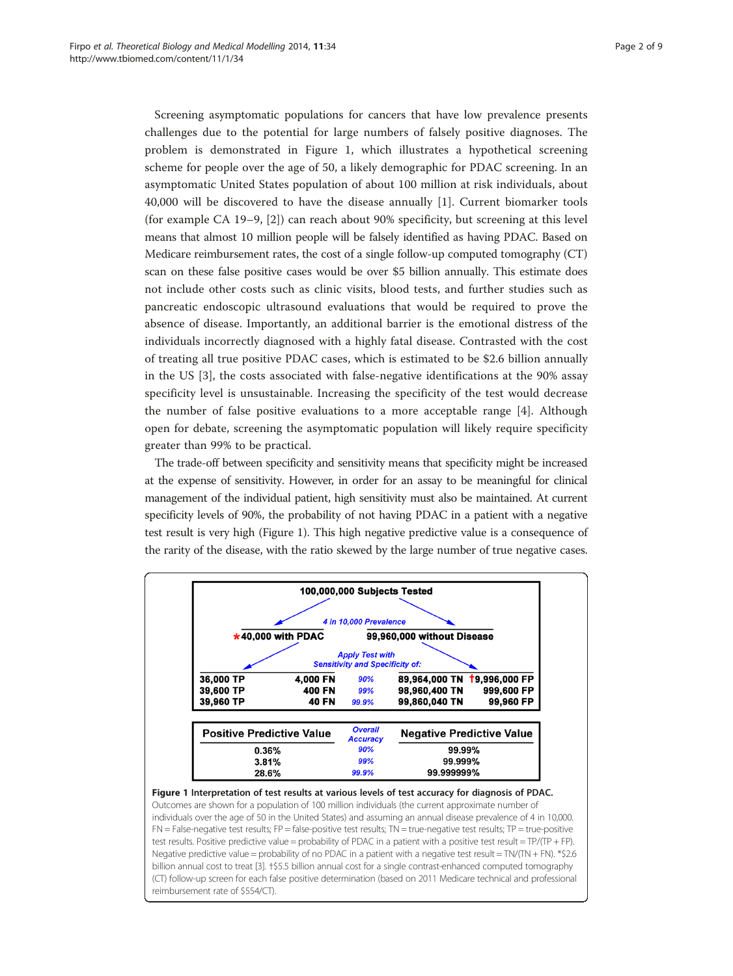Screening asymptomatic populations for cancers that have low prevalence presents challenges due to the potential for large numbers of falsely positive diagnoses. The problem is demonstrated in Figure 1, which illustrates a hypothetical screening scheme for people over the age of 50, a likely demographic for PDAC screening. In an asymptomatic United States population of about 100 million at risk individuals, about 40,000 will be discovered to have the disease annually [[1\]](#page-7-0). Current biomarker tools (for example CA 19–9, [[2\]](#page-7-0)) can reach about 90% specificity, but screening at this level means that almost 10 million people will be falsely identified as having PDAC. Based on Medicare reimbursement rates, the cost of a single follow-up computed tomography (CT) scan on these false positive cases would be over \$5 billion annually. This estimate does not include other costs such as clinic visits, blood tests, and further studies such as pancreatic endoscopic ultrasound evaluations that would be required to prove the absence of disease. Importantly, an additional barrier is the emotional distress of the individuals incorrectly diagnosed with a highly fatal disease. Contrasted with the cost of treating all true positive PDAC cases, which is estimated to be \$2.6 billion annually in the US [[3\]](#page-7-0), the costs associated with false-negative identifications at the 90% assay specificity level is unsustainable. Increasing the specificity of the test would decrease the number of false positive evaluations to a more acceptable range [\[4](#page-7-0)]. Although open for debate, screening the asymptomatic population will likely require specificity greater than 99% to be practical.

The trade-off between specificity and sensitivity means that specificity might be increased at the expense of sensitivity. However, in order for an assay to be meaningful for clinical management of the individual patient, high sensitivity must also be maintained. At current specificity levels of 90%, the probability of not having PDAC in a patient with a negative test result is very high (Figure 1). This high negative predictive value is a consequence of the rarity of the disease, with the ratio skewed by the large number of true negative cases.



Outcomes are shown for a population of 100 million individuals (the current approximate number of individuals over the age of 50 in the United States) and assuming an annual disease prevalence of 4 in 10,000. FN = False-negative test results; FP = false-positive test results; TN = true-negative test results; TP = true-positive test results. Positive predictive value = probability of PDAC in a patient with a positive test result = TP/(TP + FP). Negative predictive value = probability of no PDAC in a patient with a negative test result = TN/(TN + FN). \*\$2.6 billion annual cost to treat [\[3](#page-7-0)]. †\$5.5 billion annual cost for a single contrast-enhanced computed tomography (CT) follow-up screen for each false positive determination (based on 2011 Medicare technical and professional reimbursement rate of \$554/CT).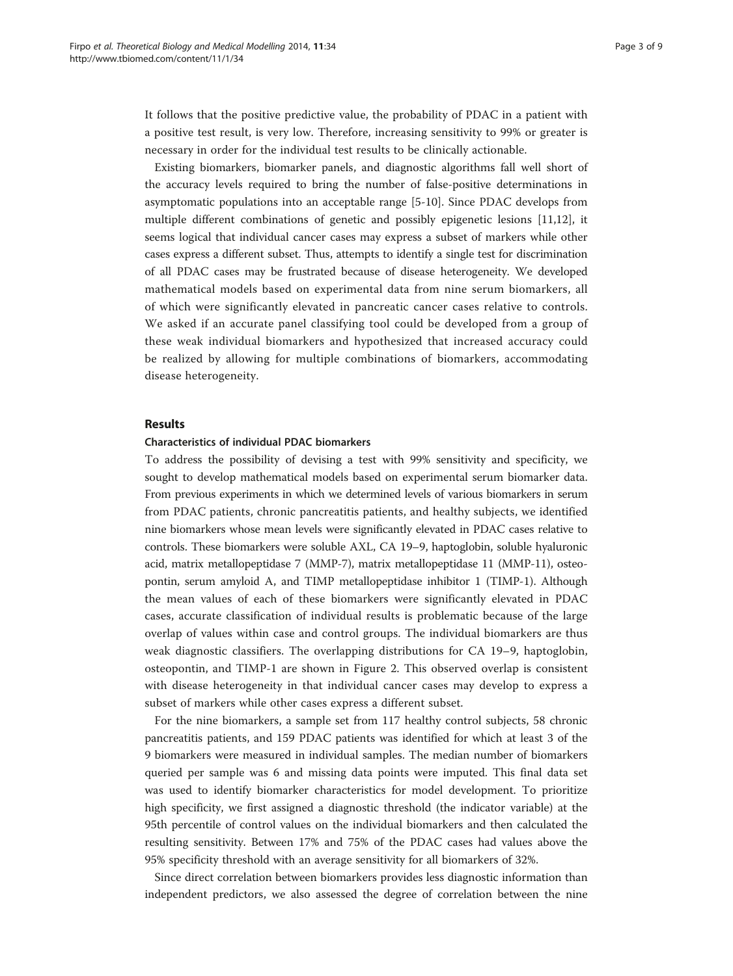It follows that the positive predictive value, the probability of PDAC in a patient with a positive test result, is very low. Therefore, increasing sensitivity to 99% or greater is necessary in order for the individual test results to be clinically actionable.

Existing biomarkers, biomarker panels, and diagnostic algorithms fall well short of the accuracy levels required to bring the number of false-positive determinations in asymptomatic populations into an acceptable range [\[5](#page-7-0)-[10\]](#page-7-0). Since PDAC develops from multiple different combinations of genetic and possibly epigenetic lesions [\[11,12\]](#page-7-0), it seems logical that individual cancer cases may express a subset of markers while other cases express a different subset. Thus, attempts to identify a single test for discrimination of all PDAC cases may be frustrated because of disease heterogeneity. We developed mathematical models based on experimental data from nine serum biomarkers, all of which were significantly elevated in pancreatic cancer cases relative to controls. We asked if an accurate panel classifying tool could be developed from a group of these weak individual biomarkers and hypothesized that increased accuracy could be realized by allowing for multiple combinations of biomarkers, accommodating disease heterogeneity.

# Results

# Characteristics of individual PDAC biomarkers

To address the possibility of devising a test with 99% sensitivity and specificity, we sought to develop mathematical models based on experimental serum biomarker data. From previous experiments in which we determined levels of various biomarkers in serum from PDAC patients, chronic pancreatitis patients, and healthy subjects, we identified nine biomarkers whose mean levels were significantly elevated in PDAC cases relative to controls. These biomarkers were soluble AXL, CA 19–9, haptoglobin, soluble hyaluronic acid, matrix metallopeptidase 7 (MMP-7), matrix metallopeptidase 11 (MMP-11), osteopontin, serum amyloid A, and TIMP metallopeptidase inhibitor 1 (TIMP-1). Although the mean values of each of these biomarkers were significantly elevated in PDAC cases, accurate classification of individual results is problematic because of the large overlap of values within case and control groups. The individual biomarkers are thus weak diagnostic classifiers. The overlapping distributions for CA 19–9, haptoglobin, osteopontin, and TIMP-1 are shown in Figure [2.](#page-3-0) This observed overlap is consistent with disease heterogeneity in that individual cancer cases may develop to express a subset of markers while other cases express a different subset.

For the nine biomarkers, a sample set from 117 healthy control subjects, 58 chronic pancreatitis patients, and 159 PDAC patients was identified for which at least 3 of the 9 biomarkers were measured in individual samples. The median number of biomarkers queried per sample was 6 and missing data points were imputed. This final data set was used to identify biomarker characteristics for model development. To prioritize high specificity, we first assigned a diagnostic threshold (the indicator variable) at the 95th percentile of control values on the individual biomarkers and then calculated the resulting sensitivity. Between 17% and 75% of the PDAC cases had values above the 95% specificity threshold with an average sensitivity for all biomarkers of 32%.

Since direct correlation between biomarkers provides less diagnostic information than independent predictors, we also assessed the degree of correlation between the nine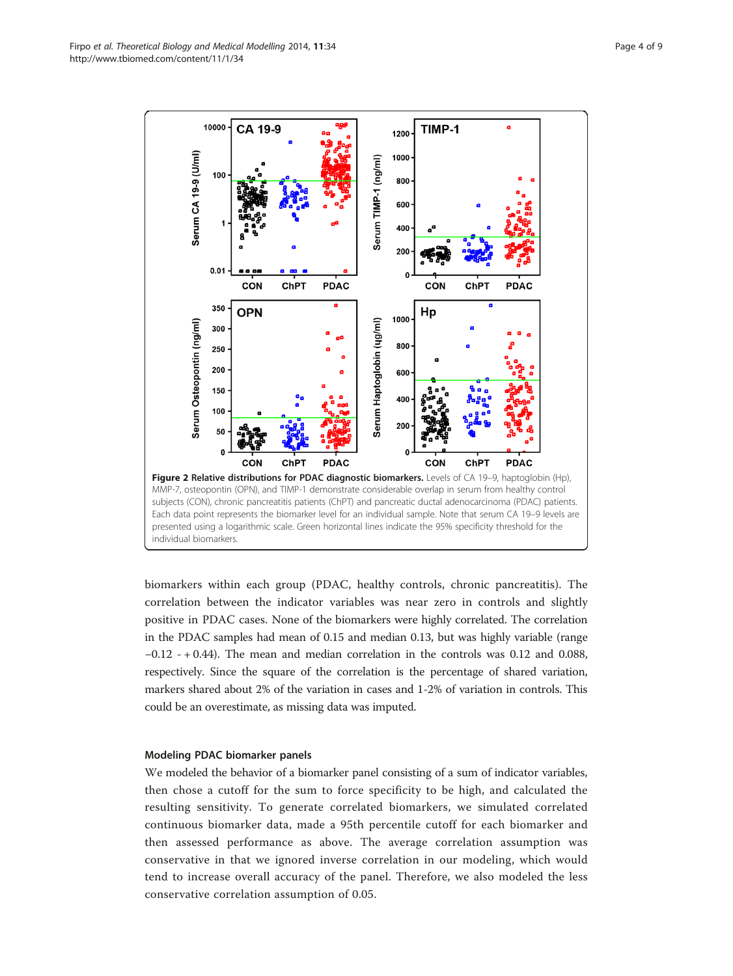<span id="page-3-0"></span>

biomarkers within each group (PDAC, healthy controls, chronic pancreatitis). The correlation between the indicator variables was near zero in controls and slightly positive in PDAC cases. None of the biomarkers were highly correlated. The correlation in the PDAC samples had mean of 0.15 and median 0.13, but was highly variable (range  $-0.12$  - + 0.44). The mean and median correlation in the controls was 0.12 and 0.088, respectively. Since the square of the correlation is the percentage of shared variation, markers shared about 2% of the variation in cases and 1-2% of variation in controls. This could be an overestimate, as missing data was imputed.

# Modeling PDAC biomarker panels

We modeled the behavior of a biomarker panel consisting of a sum of indicator variables, then chose a cutoff for the sum to force specificity to be high, and calculated the resulting sensitivity. To generate correlated biomarkers, we simulated correlated continuous biomarker data, made a 95th percentile cutoff for each biomarker and then assessed performance as above. The average correlation assumption was conservative in that we ignored inverse correlation in our modeling, which would tend to increase overall accuracy of the panel. Therefore, we also modeled the less conservative correlation assumption of 0.05.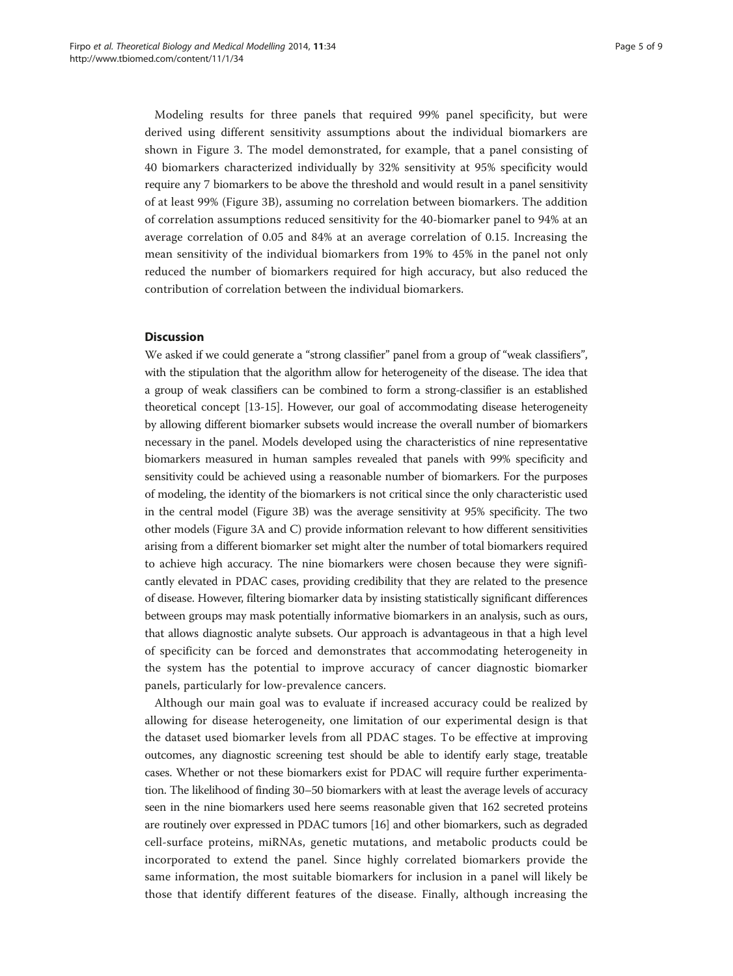Modeling results for three panels that required 99% panel specificity, but were derived using different sensitivity assumptions about the individual biomarkers are shown in Figure [3](#page-6-0). The model demonstrated, for example, that a panel consisting of 40 biomarkers characterized individually by 32% sensitivity at 95% specificity would require any 7 biomarkers to be above the threshold and would result in a panel sensitivity of at least 99% (Figure [3B](#page-6-0)), assuming no correlation between biomarkers. The addition of correlation assumptions reduced sensitivity for the 40-biomarker panel to 94% at an average correlation of 0.05 and 84% at an average correlation of 0.15. Increasing the mean sensitivity of the individual biomarkers from 19% to 45% in the panel not only reduced the number of biomarkers required for high accuracy, but also reduced the contribution of correlation between the individual biomarkers.

# **Discussion**

We asked if we could generate a "strong classifier" panel from a group of "weak classifiers", with the stipulation that the algorithm allow for heterogeneity of the disease. The idea that a group of weak classifiers can be combined to form a strong-classifier is an established theoretical concept [[13-15\]](#page-7-0). However, our goal of accommodating disease heterogeneity by allowing different biomarker subsets would increase the overall number of biomarkers necessary in the panel. Models developed using the characteristics of nine representative biomarkers measured in human samples revealed that panels with 99% specificity and sensitivity could be achieved using a reasonable number of biomarkers. For the purposes of modeling, the identity of the biomarkers is not critical since the only characteristic used in the central model (Figure [3](#page-6-0)B) was the average sensitivity at 95% specificity. The two other models (Figure [3A](#page-6-0) and C) provide information relevant to how different sensitivities arising from a different biomarker set might alter the number of total biomarkers required to achieve high accuracy. The nine biomarkers were chosen because they were significantly elevated in PDAC cases, providing credibility that they are related to the presence of disease. However, filtering biomarker data by insisting statistically significant differences between groups may mask potentially informative biomarkers in an analysis, such as ours, that allows diagnostic analyte subsets. Our approach is advantageous in that a high level of specificity can be forced and demonstrates that accommodating heterogeneity in the system has the potential to improve accuracy of cancer diagnostic biomarker panels, particularly for low-prevalence cancers.

Although our main goal was to evaluate if increased accuracy could be realized by allowing for disease heterogeneity, one limitation of our experimental design is that the dataset used biomarker levels from all PDAC stages. To be effective at improving outcomes, any diagnostic screening test should be able to identify early stage, treatable cases. Whether or not these biomarkers exist for PDAC will require further experimentation. The likelihood of finding 30–50 biomarkers with at least the average levels of accuracy seen in the nine biomarkers used here seems reasonable given that 162 secreted proteins are routinely over expressed in PDAC tumors [\[16\]](#page-7-0) and other biomarkers, such as degraded cell-surface proteins, miRNAs, genetic mutations, and metabolic products could be incorporated to extend the panel. Since highly correlated biomarkers provide the same information, the most suitable biomarkers for inclusion in a panel will likely be those that identify different features of the disease. Finally, although increasing the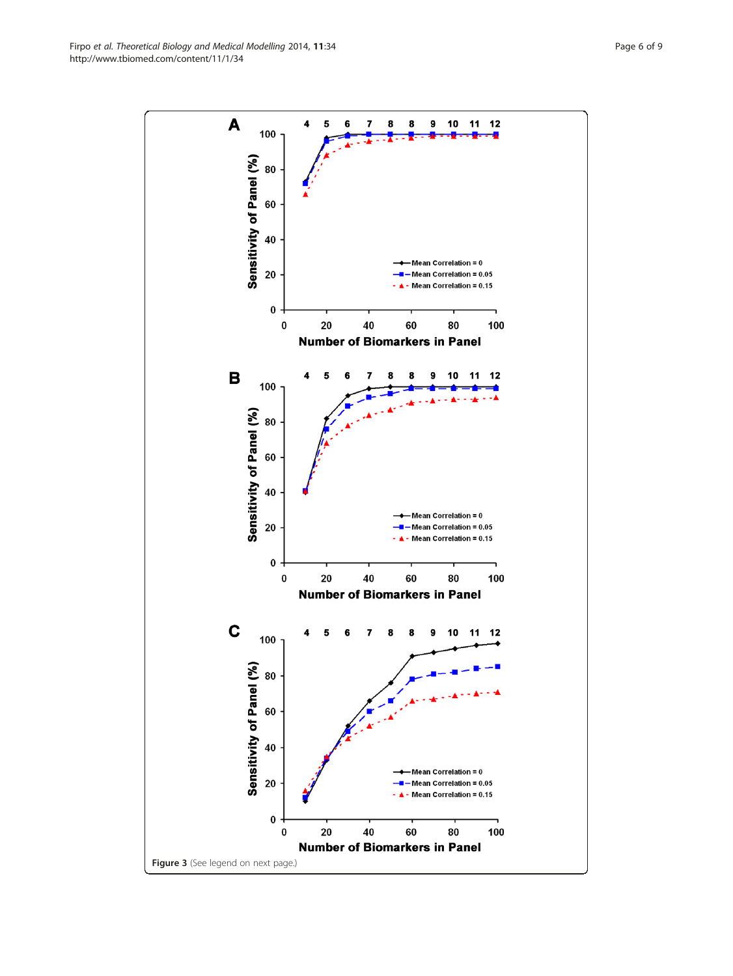Firpo et al. Theoretical Biology and Medical Modelling 2014, 11:34 Page 6 of 9 http://www.tbiomed.com/content/11/1/34

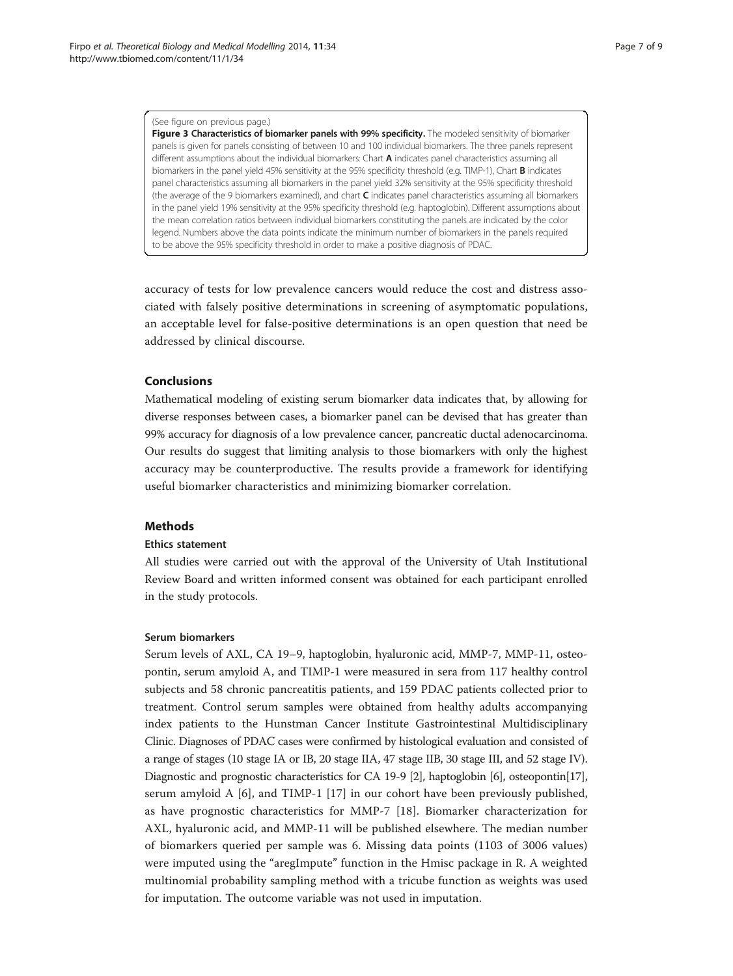#### <span id="page-6-0"></span>(See figure on previous page.)

Figure 3 Characteristics of biomarker panels with 99% specificity. The modeled sensitivity of biomarker panels is given for panels consisting of between 10 and 100 individual biomarkers. The three panels represent different assumptions about the individual biomarkers: Chart A indicates panel characteristics assuming all biomarkers in the panel yield 45% sensitivity at the 95% specificity threshold (e.g. TIMP-1), Chart **B** indicates panel characteristics assuming all biomarkers in the panel yield 32% sensitivity at the 95% specificity threshold (the average of the 9 biomarkers examined), and chart  $C$  indicates panel characteristics assuming all biomarkers in the panel yield 19% sensitivity at the 95% specificity threshold (e.g. haptoglobin). Different assumptions about the mean correlation ratios between individual biomarkers constituting the panels are indicated by the color legend. Numbers above the data points indicate the minimum number of biomarkers in the panels required to be above the 95% specificity threshold in order to make a positive diagnosis of PDAC.

accuracy of tests for low prevalence cancers would reduce the cost and distress associated with falsely positive determinations in screening of asymptomatic populations, an acceptable level for false-positive determinations is an open question that need be addressed by clinical discourse.

# Conclusions

Mathematical modeling of existing serum biomarker data indicates that, by allowing for diverse responses between cases, a biomarker panel can be devised that has greater than 99% accuracy for diagnosis of a low prevalence cancer, pancreatic ductal adenocarcinoma. Our results do suggest that limiting analysis to those biomarkers with only the highest accuracy may be counterproductive. The results provide a framework for identifying useful biomarker characteristics and minimizing biomarker correlation.

#### Methods

# Ethics statement

All studies were carried out with the approval of the University of Utah Institutional Review Board and written informed consent was obtained for each participant enrolled in the study protocols.

# Serum biomarkers

Serum levels of AXL, CA 19–9, haptoglobin, hyaluronic acid, MMP-7, MMP-11, osteopontin, serum amyloid A, and TIMP-1 were measured in sera from 117 healthy control subjects and 58 chronic pancreatitis patients, and 159 PDAC patients collected prior to treatment. Control serum samples were obtained from healthy adults accompanying index patients to the Hunstman Cancer Institute Gastrointestinal Multidisciplinary Clinic. Diagnoses of PDAC cases were confirmed by histological evaluation and consisted of a range of stages (10 stage IA or IB, 20 stage IIA, 47 stage IIB, 30 stage III, and 52 stage IV). Diagnostic and prognostic characteristics for CA 19-9 [\[2\]](#page-7-0), haptoglobin [\[6\]](#page-7-0), osteopontin[\[17](#page-8-0)], serum amyloid A [\[6](#page-7-0)], and TIMP-1 [\[17](#page-8-0)] in our cohort have been previously published, as have prognostic characteristics for MMP-7 [\[18](#page-8-0)]. Biomarker characterization for AXL, hyaluronic acid, and MMP-11 will be published elsewhere. The median number of biomarkers queried per sample was 6. Missing data points (1103 of 3006 values) were imputed using the "aregImpute" function in the Hmisc package in R. A weighted multinomial probability sampling method with a tricube function as weights was used for imputation. The outcome variable was not used in imputation.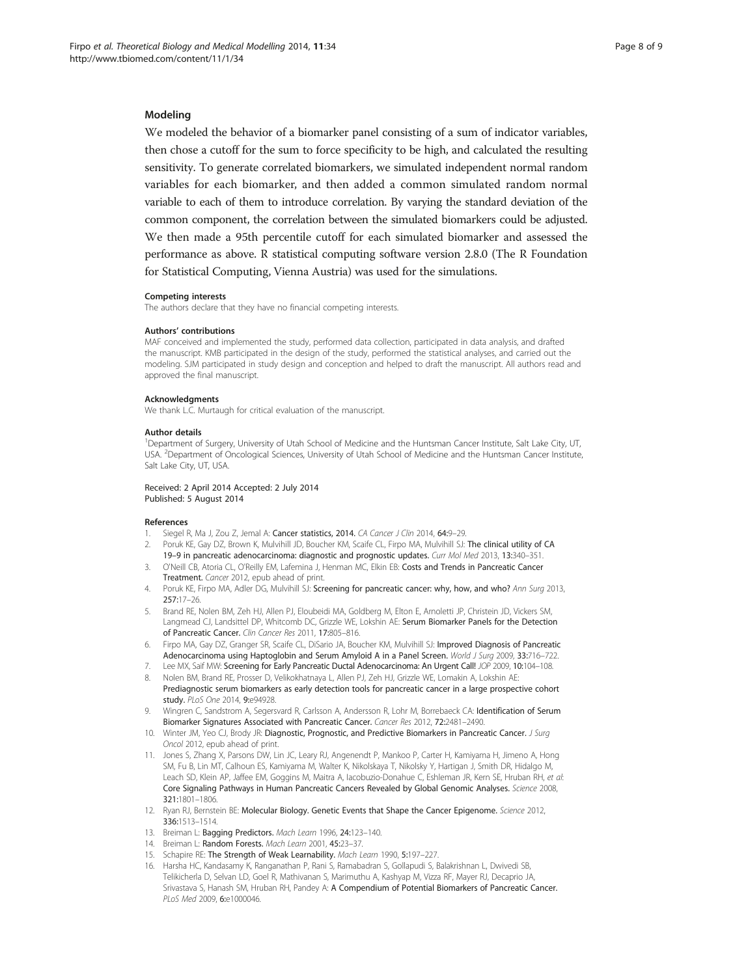#### <span id="page-7-0"></span>Modeling

We modeled the behavior of a biomarker panel consisting of a sum of indicator variables, then chose a cutoff for the sum to force specificity to be high, and calculated the resulting sensitivity. To generate correlated biomarkers, we simulated independent normal random variables for each biomarker, and then added a common simulated random normal variable to each of them to introduce correlation. By varying the standard deviation of the common component, the correlation between the simulated biomarkers could be adjusted. We then made a 95th percentile cutoff for each simulated biomarker and assessed the performance as above. R statistical computing software version 2.8.0 (The R Foundation for Statistical Computing, Vienna Austria) was used for the simulations.

#### Competing interests

The authors declare that they have no financial competing interests.

#### Authors' contributions

MAF conceived and implemented the study, performed data collection, participated in data analysis, and drafted the manuscript. KMB participated in the design of the study, performed the statistical analyses, and carried out the modeling. SJM participated in study design and conception and helped to draft the manuscript. All authors read and approved the final manuscript.

#### Acknowledgments

We thank L.C. Murtaugh for critical evaluation of the manuscript.

#### Author details

<sup>1</sup>Department of Surgery, University of Utah School of Medicine and the Huntsman Cancer Institute, Salt Lake City, UT, USA. <sup>2</sup> Department of Oncological Sciences, University of Utah School of Medicine and the Huntsman Cancer Institute, Salt Lake City, UT, USA.

#### Received: 2 April 2014 Accepted: 2 July 2014 Published: 5 August 2014

#### References

- Siegel R, Ma J, Zou Z, Jemal A: Cancer statistics, 2014. CA Cancer J Clin 2014, 64:9-29.
- 2. Poruk KE, Gay DZ, Brown K, Mulvihill JD, Boucher KM, Scaife CL, Firpo MA, Mulvihill SJ: The clinical utility of CA 19–9 in pancreatic adenocarcinoma: diagnostic and prognostic updates. Curr Mol Med 2013, 13:340-351.
- O'Neill CB, Atoria CL, O'Reilly EM, Lafemina J, Henman MC, Elkin EB: Costs and Trends in Pancreatic Cancer Treatment. Cancer 2012, epub ahead of print.
- 4. Poruk KE, Firpo MA, Adler DG, Mulvihill SJ: Screening for pancreatic cancer: why, how, and who? Ann Surg 2013, 257:17–26.
- 5. Brand RE, Nolen BM, Zeh HJ, Allen PJ, Eloubeidi MA, Goldberg M, Elton E, Arnoletti JP, Christein JD, Vickers SM, Langmead CJ, Landsittel DP, Whitcomb DC, Grizzle WE, Lokshin AE: Serum Biomarker Panels for the Detection of Pancreatic Cancer. Clin Cancer Res 2011, 17:805–816.
- 6. Firpo MA, Gay DZ, Granger SR, Scaife CL, DiSario JA, Boucher KM, Mulvihill SJ: Improved Diagnosis of Pancreatic Adenocarcinoma using Haptoglobin and Serum Amyloid A in a Panel Screen. World J Surg 2009, 33:716–722.
- 7. Lee MX, Saif MW: Screening for Early Pancreatic Ductal Adenocarcinoma: An Urgent Call! JOP 2009, 10:104-108. 8. Nolen BM, Brand RE, Prosser D, Velikokhatnaya L, Allen PJ, Zeh HJ, Grizzle WE, Lomakin A, Lokshin AE:
- Prediagnostic serum biomarkers as early detection tools for pancreatic cancer in a large prospective cohort study. PLoS One 2014, 9:e94928.
- 9. Wingren C, Sandstrom A, Segersvard R, Carlsson A, Andersson R, Lohr M, Borrebaeck CA: Identification of Serum Biomarker Signatures Associated with Pancreatic Cancer. Cancer Res 2012, 72:2481–2490.
- 10. Winter JM, Yeo CJ, Brody JR: Diagnostic, Prognostic, and Predictive Biomarkers in Pancreatic Cancer. J Surg Oncol 2012, epub ahead of print.
- 11. Jones S, Zhang X, Parsons DW, Lin JC, Leary RJ, Angenendt P, Mankoo P, Carter H, Kamiyama H, Jimeno A, Hong SM, Fu B, Lin MT, Calhoun ES, Kamiyama M, Walter K, Nikolskaya T, Nikolsky Y, Hartigan J, Smith DR, Hidalgo M, Leach SD, Klein AP, Jaffee EM, Goggins M, Maitra A, Iacobuzio-Donahue C, Eshleman JR, Kern SE, Hruban RH, et al: Core Signaling Pathways in Human Pancreatic Cancers Revealed by Global Genomic Analyses. Science 2008, 321:1801–1806.
- 12. Ryan RJ, Bernstein BE: Molecular Biology. Genetic Events that Shape the Cancer Epigenome. Science 2012, 336:1513–1514.
- 13. Breiman L: Bagging Predictors. Mach Learn 1996, 24:123-140.
- 14. Breiman L: Random Forests. Mach Learn 2001, 45:23-37.
- 15. Schapire RE: The Strength of Weak Learnability. Mach Learn 1990, 5:197-227.
- 16. Harsha HC, Kandasamy K, Ranganathan P, Rani S, Ramabadran S, Gollapudi S, Balakrishnan L, Dwivedi SB, Telikicherla D, Selvan LD, Goel R, Mathivanan S, Marimuthu A, Kashyap M, Vizza RF, Mayer RJ, Decaprio JA, Srivastava S, Hanash SM, Hruban RH, Pandey A: A Compendium of Potential Biomarkers of Pancreatic Cancer. PLoS Med 2009, 6:e1000046.